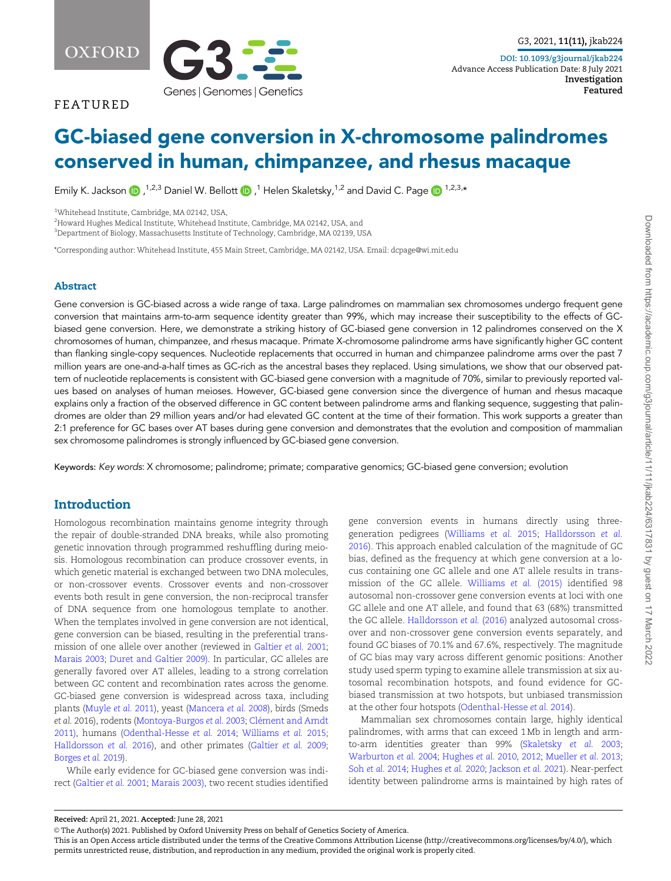OXFORD



FEATURED

# GC-biased gene conversion in X-chromosome palindromes conserved in human, chimpanzee, and rhesus macaque

Emily K. Jackson (D,  $^{1,2,3}$  Daniel W. Bellott (D,  $^{1}$  Helen Skaletsky, $^{1,2}$  and David C. Page (D  $^{1,2,3,\star}$ 

<sup>1</sup>Whitehead Institute, Cambridge, MA 02142, USA,

 $^2$ Howard Hughes Medical Institute, Whitehead Institute, Cambridge, MA 02142, USA, and

 $^3$ Department of Biology, Massachusetts Institute of Technology, Cambridge, MA 02139, USA

\*Corresponding author: Whitehead Institute, 455 Main Street, Cambridge, MA 02142, USA. Email: dcpage@wi.mit.edu

### Abstract

Gene conversion is GC-biased across a wide range of taxa. Large palindromes on mammalian sex chromosomes undergo frequent gene conversion that maintains arm-to-arm sequence identity greater than 99%, which may increase their susceptibility to the effects of GCbiased gene conversion. Here, we demonstrate a striking history of GC-biased gene conversion in 12 palindromes conserved on the X chromosomes of human, chimpanzee, and rhesus macaque. Primate X-chromosome palindrome arms have significantly higher GC content than flanking single-copy sequences. Nucleotide replacements that occurred in human and chimpanzee palindrome arms over the past 7 million years are one-and-a-half times as GC-rich as the ancestral bases they replaced. Using simulations, we show that our observed pattern of nucleotide replacements is consistent with GC-biased gene conversion with a magnitude of 70%, similar to previously reported values based on analyses of human meioses. However, GC-biased gene conversion since the divergence of human and rhesus macaque explains only a fraction of the observed difference in GC content between palindrome arms and flanking sequence, suggesting that palindromes are older than 29 million years and/or had elevated GC content at the time of their formation. This work supports a greater than 2:1 preference for GC bases over AT bases during gene conversion and demonstrates that the evolution and composition of mammalian sex chromosome palindromes is strongly influenced by GC-biased gene conversion.

Keywords: Key words: X chromosome; palindrome; primate; comparative genomics; GC-biased gene conversion; evolution

# **Introduction**

Homologous recombination maintains genome integrity through the repair of double-stranded DNA breaks, while also promoting genetic innovation through programmed reshuffling during meiosis. Homologous recombination can produce crossover events, in which genetic material is exchanged between two DNA molecules, or non-crossover events. Crossover events and non-crossover events both result in gene conversion, the non-reciprocal transfer of DNA sequence from one homologous template to another. When the templates involved in gene conversion are not identical, gene conversion can be biased, resulting in the preferential transmission of one allele over another (reviewed in [Galtier](#page-8-0) et al. 2001; [Marais 2003;](#page-8-0) [Duret and Galtier 2009\)](#page-8-0). In particular, GC alleles are generally favored over AT alleles, leading to a strong correlation between GC content and recombination rates across the genome. GC-biased gene conversion is widespread across taxa, including plants ([Muyle](#page-8-0) et al. 2011), yeast [\(Mancera](#page-8-0) et al. 2008), birds (Smeds et al. 2016), rodents [\(Montoya-Burgos](#page-8-0) et al. 2003; Clément and Arndt [2011\)](#page-8-0), humans [\(Odenthal-Hesse](#page-8-0) et al. 2014; [Williams](#page-9-0) et al. 2015; [Halldorsson](#page-8-0) et al. 2016), and other primates [\(Galtier](#page-8-0) et al. 2009; [Borges](#page-8-0) et al. 2019).

While early evidence for GC-biased gene conversion was indirect [\(Galtier](#page-8-0) et al. 2001; [Marais 2003\)](#page-8-0), two recent studies identified

gene conversion events in humans directly using threegeneration pedigrees [\(Williams](#page-9-0) et al. 2015; [Halldorsson](#page-8-0) et al. [2016\)](#page-8-0). This approach enabled calculation of the magnitude of GC bias, defined as the frequency at which gene conversion at a locus containing one GC allele and one AT allele results in transmission of the GC allele. [Williams](#page-9-0) et al. (2015) identified 98 autosomal non-crossover gene conversion events at loci with one GC allele and one AT allele, and found that 63 (68%) transmitted the GC allele. [Halldorsson](#page-8-0) et al. (2016) analyzed autosomal crossover and non-crossover gene conversion events separately, and found GC biases of 70.1% and 67.6%, respectively. The magnitude of GC bias may vary across different genomic positions: Another study used sperm typing to examine allele transmission at six autosomal recombination hotspots, and found evidence for GCbiased transmission at two hotspots, but unbiased transmission at the other four hotspots [\(Odenthal-Hesse](#page-8-0) et al. 2014).

Mammalian sex chromosomes contain large, highly identical palindromes, with arms that can exceed 1 Mb in length and armto-arm identities greater than 99% [\(Skaletsky](#page-9-0) et al. 2003; [Warburton](#page-9-0) et al. 2004; [Hughes](#page-8-0) et al. 2010, [2012;](#page-8-0) [Mueller](#page-8-0) et al. 2013; Soh et al. [2014;](#page-9-0) [Hughes](#page-8-0) et al. 2020; [Jackson](#page-8-0) et al. 2021). Near-perfect identity between palindrome arms is maintained by high rates of

Received: April 21, 2021. Accepted: June 28, 2021

V<sup>C</sup> The Author(s) 2021. Published by Oxford University Press on behalf of Genetics Society of America.

This is an Open Access article distributed under the terms of the Creative Commons Attribution License (http://creativecommons.org/licenses/by/4.0/), which permits unrestricted reuse, distribution, and reproduction in any medium, provided the original work is properly cited.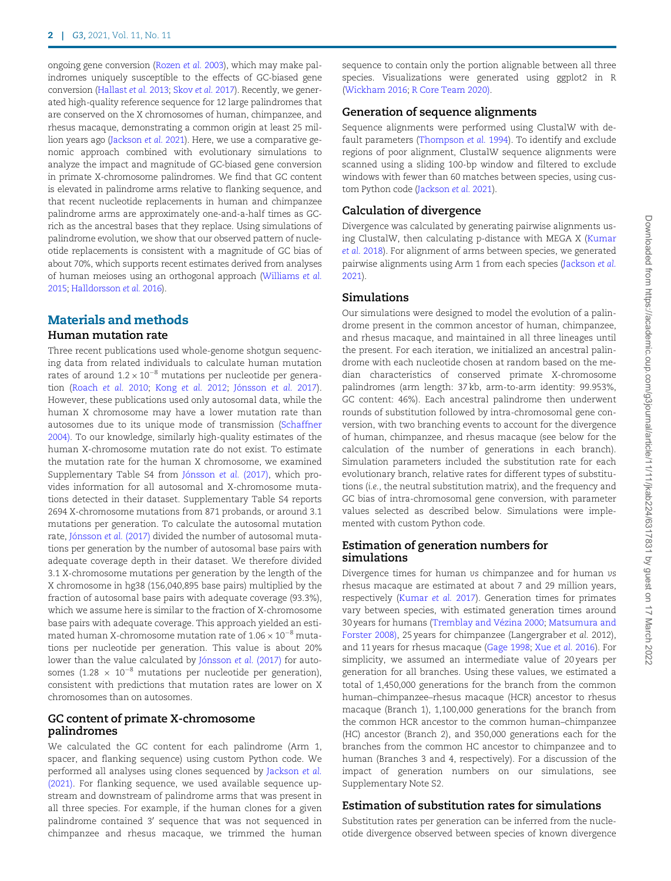ongoing gene conversion [\(Rozen](#page-8-0) et al. 2003), which may make palindromes uniquely susceptible to the effects of GC-biased gene conversion ([Hallast](#page-8-0) et al. 2013; [Skov](#page-9-0) et al. 2017). Recently, we generated high-quality reference sequence for 12 large palindromes that are conserved on the X chromosomes of human, chimpanzee, and rhesus macaque, demonstrating a common origin at least 25 million years ago [\(Jackson](#page-8-0) et al. 2021). Here, we use a comparative genomic approach combined with evolutionary simulations to analyze the impact and magnitude of GC-biased gene conversion in primate X-chromosome palindromes. We find that GC content is elevated in palindrome arms relative to flanking sequence, and that recent nucleotide replacements in human and chimpanzee palindrome arms are approximately one-and-a-half times as GCrich as the ancestral bases that they replace. Using simulations of palindrome evolution, we show that our observed pattern of nucleotide replacements is consistent with a magnitude of GC bias of about 70%, which supports recent estimates derived from analyses of human meioses using an orthogonal approach [\(Williams](#page-9-0) et al. [2015](#page-9-0); [Halldorsson](#page-8-0) et al. 2016).

# Materials and methods

# Human mutation rate

Three recent publications used whole-genome shotgun sequencing data from related individuals to calculate human mutation rates of around 1.2  $\times$  10 $^{-8}$  mutations per nucleotide per genera-tion [\(Roach](#page-8-0) et al. 2010; [Kong](#page-8-0) et al. 2012; Jónsson et al. 2017). However, these publications used only autosomal data, while the human X chromosome may have a lower mutation rate than autosomes due to its unique mode of transmission ([Schaffner](#page-9-0) [2004\)](#page-9-0). To our knowledge, similarly high-quality estimates of the human X-chromosome mutation rate do not exist. To estimate the mutation rate for the human X chromosome, we examined Supplementary Table S4 from Jónsson et al. (2017), which provides information for all autosomal and X-chromosome mutations detected in their dataset. Supplementary Table S4 reports 2694 X-chromosome mutations from 871 probands, or around 3.1 mutations per generation. To calculate the autosomal mutation rate, Jónsson et al. (2017) divided the number of autosomal mutations per generation by the number of autosomal base pairs with adequate coverage depth in their dataset. We therefore divided 3.1 X-chromosome mutations per generation by the length of the X chromosome in hg38 (156,040,895 base pairs) multiplied by the fraction of autosomal base pairs with adequate coverage (93.3%), which we assume here is similar to the fraction of X-chromosome base pairs with adequate coverage. This approach yielded an estimated human X-chromosome mutation rate of 1.06  $\times$  10 $^{-8}$  mutations per nucleotide per generation. This value is about 20% lower than the value calculated by Jónsson et al. (2017) for autosomes (1.28  $\times$  10 $^{-8}$  mutations per nucleotide per generation), consistent with predictions that mutation rates are lower on X chromosomes than on autosomes.

## GC content of primate X-chromosome palindromes

We calculated the GC content for each palindrome (Arm 1, spacer, and flanking sequence) using custom Python code. We performed all analyses using clones sequenced by [Jackson](#page-8-0) et al. [\(2021\).](#page-8-0) For flanking sequence, we used available sequence upstream and downstream of palindrome arms that was present in all three species. For example, if the human clones for a given palindrome contained 3' sequence that was not sequenced in chimpanzee and rhesus macaque, we trimmed the human sequence to contain only the portion alignable between all three species. Visualizations were generated using ggplot2 in R [\(Wickham 2016;](#page-9-0) [R Core Team 2020\).](#page-8-0)

## Generation of sequence alignments

Sequence alignments were performed using ClustalW with default parameters ([Thompson](#page-9-0) et al. 1994). To identify and exclude regions of poor alignment, ClustalW sequence alignments were scanned using a sliding 100-bp window and filtered to exclude windows with fewer than 60 matches between species, using custom Python code ([Jackson](#page-8-0) et al. 2021).

# Calculation of divergence

Divergence was calculated by generating pairwise alignments using ClustalW, then calculating p-distance with MEGA X [\(Kumar](#page-8-0) et al. [2018\)](#page-8-0). For alignment of arms between species, we generated pairwise alignments using Arm 1 from each species ([Jackson](#page-8-0) et al. [2021](#page-8-0)).

## Simulations

Our simulations were designed to model the evolution of a palindrome present in the common ancestor of human, chimpanzee, and rhesus macaque, and maintained in all three lineages until the present. For each iteration, we initialized an ancestral palindrome with each nucleotide chosen at random based on the median characteristics of conserved primate X-chromosome palindromes (arm length: 37 kb, arm-to-arm identity: 99.953%, GC content: 46%). Each ancestral palindrome then underwent rounds of substitution followed by intra-chromosomal gene conversion, with two branching events to account for the divergence of human, chimpanzee, and rhesus macaque (see below for the calculation of the number of generations in each branch). Simulation parameters included the substitution rate for each evolutionary branch, relative rates for different types of substitutions (i.e., the neutral substitution matrix), and the frequency and GC bias of intra-chromosomal gene conversion, with parameter values selected as described below. Simulations were implemented with custom Python code.

# Estimation of generation numbers for simulations

Divergence times for human vs chimpanzee and for human vs rhesus macaque are estimated at about 7 and 29 million years, respectively [\(Kumar](#page-8-0) et al. 2017). Generation times for primates vary between species, with estimated generation times around 30 years for humans (Tremblay and Vézina 2000; [Matsumura and](#page-8-0) [Forster 2008\)](#page-8-0), 25 years for chimpanzee (Langergraber et al. 2012), and 11 years for rhesus macaque [\(Gage 1998](#page-8-0); Xue et al. [2016](#page-9-0)). For simplicity, we assumed an intermediate value of 20 years per generation for all branches. Using these values, we estimated a total of 1,450,000 generations for the branch from the common human–chimpanzee–rhesus macaque (HCR) ancestor to rhesus macaque (Branch 1), 1,100,000 generations for the branch from the common HCR ancestor to the common human–chimpanzee (HC) ancestor (Branch 2), and 350,000 generations each for the branches from the common HC ancestor to chimpanzee and to human (Branches 3 and 4, respectively). For a discussion of the impact of generation numbers on our simulations, see Supplementary Note S2.

# Estimation of substitution rates for simulations

Substitution rates per generation can be inferred from the nucleotide divergence observed between species of known divergence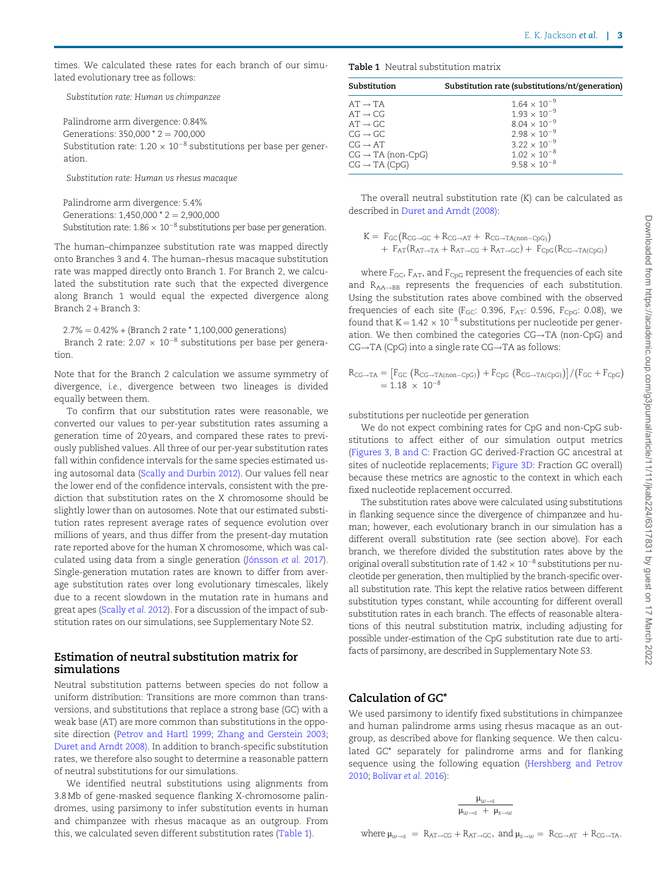times. We calculated these rates for each branch of our simulated evolutionary tree as follows:

Substitution rate: Human vs chimpanzee

Palindrome arm divergence: 0.84% Generations:  $350,000 \times 2 = 700,000$ Substitution rate: 1.20  $\times$  10 $^{-8}$  substitutions per base per generation.

Substitution rate: Human vs rhesus macaque

Palindrome arm divergence: 5.4% Generations:  $1,450,000 \times 2 = 2,900,000$ Substitution rate:  $1.86 \times 10^{-8}$  substitutions per base per generation.

The human–chimpanzee substitution rate was mapped directly onto Branches 3 and 4. The human–rhesus macaque substitution rate was mapped directly onto Branch 1. For Branch 2, we calculated the substitution rate such that the expected divergence along Branch 1 would equal the expected divergence along Branch  $2 +$ Branch 3:

 $2.7\% = 0.42\% + (Branch 2 rate * 1,100,000 generations)$ 

Branch 2 rate: 2.07  $\times$  10<sup>-8</sup> substitutions per base per generation.

Note that for the Branch 2 calculation we assume symmetry of divergence, i.e., divergence between two lineages is divided equally between them.

To confirm that our substitution rates were reasonable, we converted our values to per-year substitution rates assuming a generation time of 20 years, and compared these rates to previously published values. All three of our per-year substitution rates fall within confidence intervals for the same species estimated using autosomal data [\(Scally and Durbin 2012\)](#page-8-0). Our values fell near the lower end of the confidence intervals, consistent with the prediction that substitution rates on the X chromosome should be slightly lower than on autosomes. Note that our estimated substitution rates represent average rates of sequence evolution over millions of years, and thus differ from the present-day mutation rate reported above for the human X chromosome, which was calculated using data from a single generation (Jónsson et al. 2017). Single-generation mutation rates are known to differ from average substitution rates over long evolutionary timescales, likely due to a recent slowdown in the mutation rate in humans and great apes [\(Scally](#page-8-0) et al. 2012). For a discussion of the impact of substitution rates on our simulations, see Supplementary Note S2.

## Estimation of neutral substitution matrix for simulations

Neutral substitution patterns between species do not follow a uniform distribution: Transitions are more common than transversions, and substitutions that replace a strong base (GC) with a weak base (AT) are more common than substitutions in the opposite direction ([Petrov and Hartl 1999;](#page-8-0) [Zhang and Gerstein 2003](#page-9-0); [Duret and Arndt 2008\).](#page-8-0) In addition to branch-specific substitution rates, we therefore also sought to determine a reasonable pattern of neutral substitutions for our simulations.

We identified neutral substitutions using alignments from 3.8 Mb of gene-masked sequence flanking X-chromosome palindromes, using parsimony to infer substitution events in human and chimpanzee with rhesus macaque as an outgroup. From this, we calculated seven different substitution rates (Table 1).

Table 1 Neutral substitution matrix

| Substitution                  | Substitution rate (substitutions/nt/generation) |
|-------------------------------|-------------------------------------------------|
| $AT \rightarrow TA$           | $1.64 \times 10^{-9}$                           |
| $AT \rightarrow CG$           | $1.93 \times 10^{-9}$                           |
| $AT \rightarrow GC$           | $8.04 \times 10^{-9}$                           |
| $CG \rightarrow GC$           | $2.98 \times 10^{-9}$                           |
| $CG \rightarrow AT$           | $3.22 \times 10^{-9}$                           |
| $CG \rightarrow TA$ (non-CpG) | $1.02 \times 10^{-8}$                           |
| $CG \rightarrow TA$ (CpG)     | $9.58 \times 10^{-8}$                           |

The overall neutral substitution rate (K) can be calculated as described in [Duret and Arndt \(2008\)](#page-8-0):

 $K = F_{GC}(R_{CG \rightarrow GC} + R_{CG \rightarrow AT} + R_{CG \rightarrow TA(non-CpG)})$  $+ F_{AT}(R_{AT \rightarrow TA} + R_{AT \rightarrow CG} + R_{AT \rightarrow GC}) + F_{CpG}(R_{CG \rightarrow TA(CpG)})$ 

where  $F_{GC}$ ,  $F_{AT}$ , and  $F_{CpG}$  represent the frequencies of each site and  $R_{AA \rightarrow BB}$  represents the frequencies of each substitution. Using the substitution rates above combined with the observed frequencies of each site ( $F_{GC}$ : 0.396,  $F_{AT}$ : 0.596,  $F_{CpG}$ : 0.08), we found that  $K = 1.42 \times 10^{-8}$  substitutions per nucleotide per generation. We then combined the categories  $CG \rightarrow TA$  (non-CpG) and  $CG \rightarrow TA$  (CpG) into a single rate  $CG \rightarrow TA$  as follows:

$$
R_{CG\rightarrow TA} = [F_{GC} (R_{CG\rightarrow TA(non-CpG)}) + F_{CpG} (R_{CG\rightarrow TA(CpG)})]/(F_{GC} + F_{CpG})
$$
  
= 1.18 × 10<sup>-8</sup>

substitutions per nucleotide per generation

We do not expect combining rates for CpG and non-CpG substitutions to affect either of our simulation output metrics ([Figures 3, B and C:](#page-6-0) Fraction GC derived-Fraction GC ancestral at sites of nucleotide replacements; [Figure 3D:](#page-6-0) Fraction GC overall) because these metrics are agnostic to the context in which each fixed nucleotide replacement occurred.

The substitution rates above were calculated using substitutions in flanking sequence since the divergence of chimpanzee and human; however, each evolutionary branch in our simulation has a different overall substitution rate (see section above). For each branch, we therefore divided the substitution rates above by the original overall substitution rate of  $1.42 \times 10^{-8}$  substitutions per nucleotide per generation, then multiplied by the branch-specific overall substitution rate. This kept the relative ratios between different substitution types constant, while accounting for different overall substitution rates in each branch. The effects of reasonable alterations of this neutral substitution matrix, including adjusting for possible under-estimation of the CpG substitution rate due to artifacts of parsimony, are described in Supplementary Note S3.

## Calculation of GC\*

We used parsimony to identify fixed substitutions in chimpanzee and human palindrome arms using rhesus macaque as an outgroup, as described above for flanking sequence. We then calculated GC\* separately for palindrome arms and for flanking sequence using the following equation [\(Hershberg and Petrov](#page-8-0) [2010;](#page-8-0) Bolívar et al. 2016):

$$
\frac{\mu_{\text{w}\rightarrow\text{s}}}{\mu_{\text{w}\rightarrow\text{s}}~+~\mu_{\text{s}\rightarrow\text{w}}}
$$

where 
$$
\mu_{w \to s} = R_{AT \to CG} + R_{AT \to GC}
$$
, and  $\mu_{s \to w} = R_{CG \to AT} + R_{CG \to TA}$ .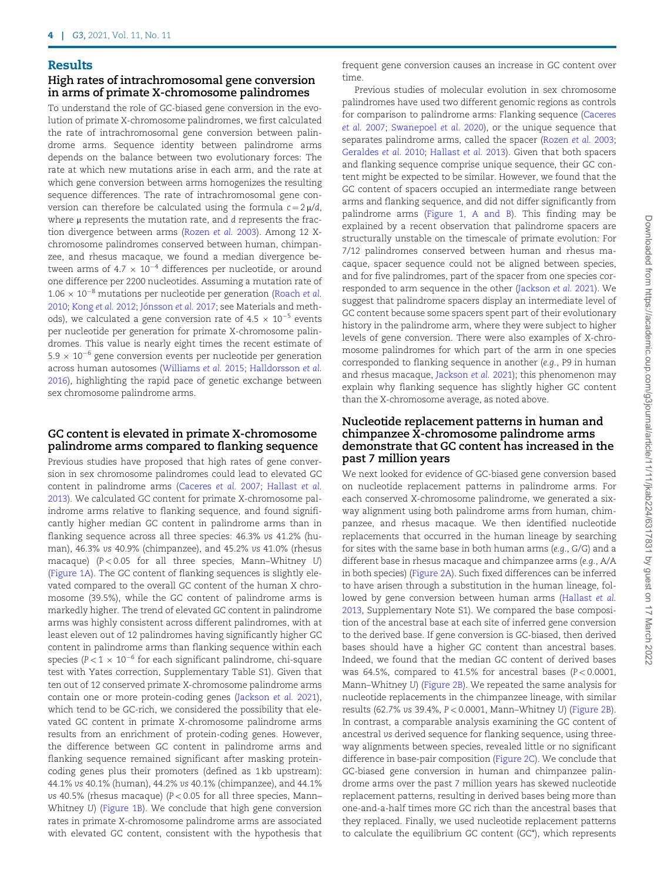#### Results

## High rates of intrachromosomal gene conversion in arms of primate X-chromosome palindromes

To understand the role of GC-biased gene conversion in the evolution of primate X-chromosome palindromes, we first calculated the rate of intrachromosomal gene conversion between palindrome arms. Sequence identity between palindrome arms depends on the balance between two evolutionary forces: The rate at which new mutations arise in each arm, and the rate at which gene conversion between arms homogenizes the resulting sequence differences. The rate of intrachromosomal gene conversion can therefore be calculated using the formula  $c = 2 \mu/d$ , where  $\mu$  represents the mutation rate, and  $d$  represents the fraction divergence between arms ([Rozen](#page-8-0) et al. 2003). Among 12 Xchromosome palindromes conserved between human, chimpanzee, and rhesus macaque, we found a median divergence between arms of 4.7  $\times$  10 $^{-4}$  differences per nucleotide, or around one difference per 2200 nucleotides. Assuming a mutation rate of  $1.06 \times 10^{-8}$  mutations per nucleotide per generation ([Roach](#page-8-0) et al. [2010;](#page-8-0) [Kong](#page-8-0) et al. 2012; Jónsson et al. 2017; see Materials and methods), we calculated a gene conversion rate of 4.5  $\times$  10 $^{-5}$  events per nucleotide per generation for primate X-chromosome palindromes. This value is nearly eight times the recent estimate of 5.9  $\times$  10 $^{-6}$  gene conversion events per nucleotide per generation across human autosomes [\(Williams](#page-9-0) et al. 2015; [Halldorsson](#page-8-0) et al. [2016\)](#page-8-0), highlighting the rapid pace of genetic exchange between sex chromosome palindrome arms.

# GC content is elevated in primate X-chromosome palindrome arms compared to flanking sequence

Previous studies have proposed that high rates of gene conversion in sex chromosome palindromes could lead to elevated GC content in palindrome arms ([Caceres](#page-8-0) et al. 2007; [Hallast](#page-8-0) et al. [2013\)](#page-8-0). We calculated GC content for primate X-chromosome palindrome arms relative to flanking sequence, and found significantly higher median GC content in palindrome arms than in flanking sequence across all three species: 46.3% vs 41.2% (human), 46.3% vs 40.9% (chimpanzee), and 45.2% vs 41.0% (rhesus macaque) ( $P < 0.05$  for all three species, Mann–Whitney U) ([Figure 1A\)](#page-4-0). The GC content of flanking sequences is slightly elevated compared to the overall GC content of the human X chromosome (39.5%), while the GC content of palindrome arms is markedly higher. The trend of elevated GC content in palindrome arms was highly consistent across different palindromes, with at least eleven out of 12 palindromes having significantly higher GC content in palindrome arms than flanking sequence within each species (P $<$ 1  $\times$  10 $^{-6}$  for each significant palindrome, chi-square test with Yates correction, Supplementary Table S1). Given that ten out of 12 conserved primate X-chromosome palindrome arms contain one or more protein-coding genes ([Jackson](#page-8-0) et al. 2021), which tend to be GC-rich, we considered the possibility that elevated GC content in primate X-chromosome palindrome arms results from an enrichment of protein-coding genes. However, the difference between GC content in palindrome arms and flanking sequence remained significant after masking proteincoding genes plus their promoters (defined as 1 kb upstream): 44.1% vs 40.1% (human), 44.2% vs 40.1% (chimpanzee), and 44.1% vs 40.5% (rhesus macaque) ( $P < 0.05$  for all three species, Mann-Whitney U) [\(Figure 1B](#page-4-0)). We conclude that high gene conversion rates in primate X-chromosome palindrome arms are associated with elevated GC content, consistent with the hypothesis that frequent gene conversion causes an increase in GC content over time.

Previous studies of molecular evolution in sex chromosome palindromes have used two different genomic regions as controls for comparison to palindrome arms: Flanking sequence [\(Caceres](#page-8-0) [et al.](#page-8-0) 2007; [Swanepoel](#page-9-0) et al. 2020), or the unique sequence that separates palindrome arms, called the spacer [\(Rozen](#page-8-0) et al. 2003; [Geraldes](#page-8-0) et al. 2010; [Hallast](#page-8-0) et al. 2013). Given that both spacers and flanking sequence comprise unique sequence, their GC content might be expected to be similar. However, we found that the GC content of spacers occupied an intermediate range between arms and flanking sequence, and did not differ significantly from palindrome arms ([Figure 1, A and B\)](#page-4-0). This finding may be explained by a recent observation that palindrome spacers are structurally unstable on the timescale of primate evolution: For 7/12 palindromes conserved between human and rhesus macaque, spacer sequence could not be aligned between species, and for five palindromes, part of the spacer from one species corresponded to arm sequence in the other ([Jackson](#page-8-0) et al. 2021). We suggest that palindrome spacers display an intermediate level of GC content because some spacers spent part of their evolutionary history in the palindrome arm, where they were subject to higher levels of gene conversion. There were also examples of X-chromosome palindromes for which part of the arm in one species corresponded to flanking sequence in another (e.g., P9 in human and rhesus macaque, [Jackson](#page-8-0) et al. 2021); this phenomenon may explain why flanking sequence has slightly higher GC content than the X-chromosome average, as noted above.

## Nucleotide replacement patterns in human and chimpanzee X-chromosome palindrome arms demonstrate that GC content has increased in the past 7 million years

We next looked for evidence of GC-biased gene conversion based on nucleotide replacement patterns in palindrome arms. For each conserved X-chromosome palindrome, we generated a sixway alignment using both palindrome arms from human, chimpanzee, and rhesus macaque. We then identified nucleotide replacements that occurred in the human lineage by searching for sites with the same base in both human arms (e.g., G/G) and a different base in rhesus macaque and chimpanzee arms (e.g., A/A in both species) ([Figure 2A\)](#page-5-0). Such fixed differences can be inferred to have arisen through a substitution in the human lineage, followed by gene conversion between human arms ([Hallast](#page-8-0) et al. [2013](#page-8-0), Supplementary Note S1). We compared the base composition of the ancestral base at each site of inferred gene conversion to the derived base. If gene conversion is GC-biased, then derived bases should have a higher GC content than ancestral bases. Indeed, we found that the median GC content of derived bases was 64.5%, compared to 41.5% for ancestral bases ( $P < 0.0001$ , Mann–Whitney U) [\(Figure 2B\)](#page-5-0). We repeated the same analysis for nucleotide replacements in the chimpanzee lineage, with similar results (62.7% vs 39.4%, P < 0.0001, Mann–Whitney U) ([Figure 2B\)](#page-5-0). In contrast, a comparable analysis examining the GC content of ancestral vs derived sequence for flanking sequence, using threeway alignments between species, revealed little or no significant difference in base-pair composition ([Figure 2C\)](#page-5-0). We conclude that GC-biased gene conversion in human and chimpanzee palindrome arms over the past 7 million years has skewed nucleotide replacement patterns, resulting in derived bases being more than one-and-a-half times more GC rich than the ancestral bases that they replaced. Finally, we used nucleotide replacement patterns to calculate the equilibrium GC content (GC\*), which represents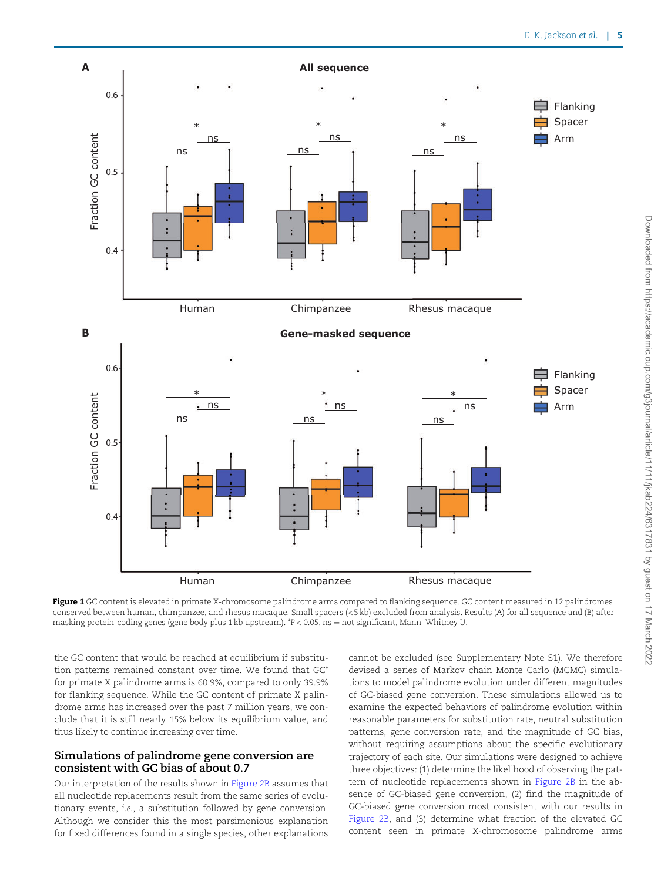<span id="page-4-0"></span>

Figure 1 GC content is elevated in primate X-chromosome palindrome arms compared to flanking sequence. GC content measured in 12 palindromes conserved between human, chimpanzee, and rhesus macaque. Small spacers (<5 kb) excluded from analysis. Results (A) for all sequence and (B) after masking protein-coding genes (gene body plus 1 kb upstream).  $*P < 0.05$ , ns = not significant, Mann–Whitney U.

the GC content that would be reached at equilibrium if substitution patterns remained constant over time. We found that GC\* for primate X palindrome arms is 60.9%, compared to only 39.9% for flanking sequence. While the GC content of primate X palindrome arms has increased over the past 7 million years, we conclude that it is still nearly 15% below its equilibrium value, and thus likely to continue increasing over time.

## Simulations of palindrome gene conversion are consistent with GC bias of about 0.7

Our interpretation of the results shown in [Figure 2B](#page-5-0) assumes that all nucleotide replacements result from the same series of evolutionary events, i.e., a substitution followed by gene conversion. Although we consider this the most parsimonious explanation for fixed differences found in a single species, other explanations

cannot be excluded (see Supplementary Note S1). We therefore devised a series of Markov chain Monte Carlo (MCMC) simulations to model palindrome evolution under different magnitudes of GC-biased gene conversion. These simulations allowed us to examine the expected behaviors of palindrome evolution within reasonable parameters for substitution rate, neutral substitution patterns, gene conversion rate, and the magnitude of GC bias, without requiring assumptions about the specific evolutionary trajectory of each site. Our simulations were designed to achieve three objectives: (1) determine the likelihood of observing the pattern of nucleotide replacements shown in [Figure 2B](#page-5-0) in the absence of GC-biased gene conversion, (2) find the magnitude of GC-biased gene conversion most consistent with our results in [Figure 2B](#page-5-0), and (3) determine what fraction of the elevated GC content seen in primate X-chromosome palindrome arms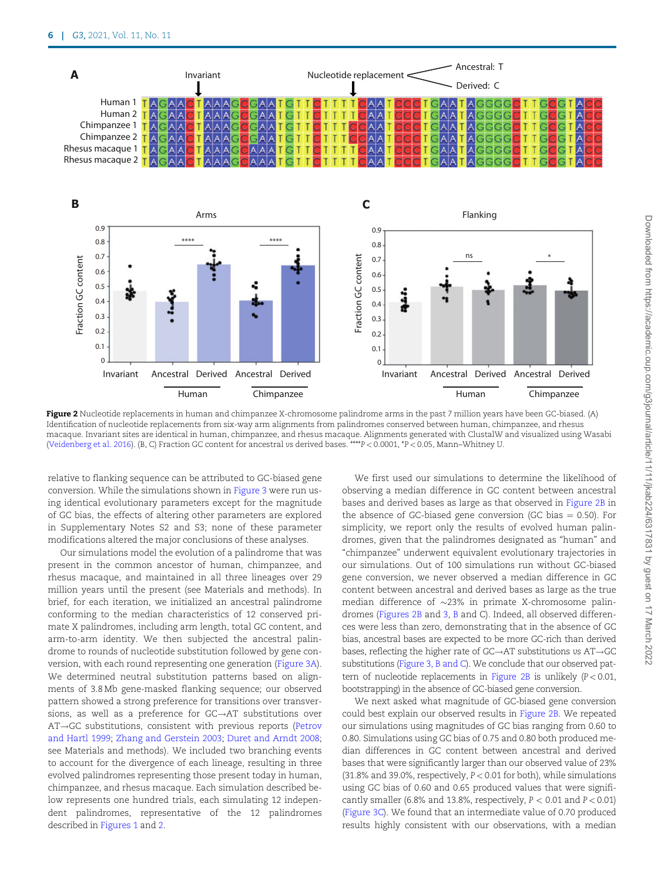<span id="page-5-0"></span>

Figure 2 Nucleotide replacements in human and chimpanzee X-chromosome palindrome arms in the past 7 million years have been GC-biased. (A) Identification of nucleotide replacements from six-way arm alignments from palindromes conserved between human, chimpanzee, and rhesus macaque. Invariant sites are identical in human, chimpanzee, and rhesus macaque. Alignments generated with ClustalW and visualized using Wasabi [\(Veidenberg et al. 2016](#page-9-0)). (B, C) Fraction GC content for ancestral vs derived bases. \*\*\*\*P < 0.0001, \*P < 0.05, Mann–Whitney U.

relative to flanking sequence can be attributed to GC-biased gene conversion. While the simulations shown in [Figure 3](#page-6-0) were run using identical evolutionary parameters except for the magnitude of GC bias, the effects of altering other parameters are explored in Supplementary Notes S2 and S3; none of these parameter modifications altered the major conclusions of these analyses.

Our simulations model the evolution of a palindrome that was present in the common ancestor of human, chimpanzee, and rhesus macaque, and maintained in all three lineages over 29 million years until the present (see Materials and methods). In brief, for each iteration, we initialized an ancestral palindrome conforming to the median characteristics of 12 conserved primate X palindromes, including arm length, total GC content, and arm-to-arm identity. We then subjected the ancestral palindrome to rounds of nucleotide substitution followed by gene conversion, with each round representing one generation [\(Figure 3A](#page-6-0)). We determined neutral substitution patterns based on alignments of 3.8 Mb gene-masked flanking sequence; our observed pattern showed a strong preference for transitions over transversions, as well as a preference for  $G C \rightarrow A T$  substitutions over  $AT \rightarrow GC$  substitutions, consistent with previous reports [\(Petrov](#page-8-0) [and Hartl 1999](#page-8-0); [Zhang and Gerstein 2003](#page-9-0); [Duret and Arndt 2008;](#page-8-0) see Materials and methods). We included two branching events to account for the divergence of each lineage, resulting in three evolved palindromes representing those present today in human, chimpanzee, and rhesus macaque. Each simulation described below represents one hundred trials, each simulating 12 independent palindromes, representative of the 12 palindromes described in [Figures 1](#page-4-0) and 2.

We first used our simulations to determine the likelihood of observing a median difference in GC content between ancestral bases and derived bases as large as that observed in Figure 2B in the absence of GC-biased gene conversion (GC bias  $= 0.50$ ). For simplicity, we report only the results of evolved human palindromes, given that the palindromes designated as "human" and "chimpanzee" underwent equivalent evolutionary trajectories in our simulations. Out of 100 simulations run without GC-biased gene conversion, we never observed a median difference in GC content between ancestral and derived bases as large as the true median difference of  $\sim$ 23% in primate X-chromosome palindromes (Figures 2B and [3,](#page-6-0) B and C). Indeed, all observed differences were less than zero, demonstrating that in the absence of GC bias, ancestral bases are expected to be more GC-rich than derived bases, reflecting the higher rate of  $G C \rightarrow AT$  substitutions vs  $AT \rightarrow GC$ substitutions [\(Figure 3, B and C\)](#page-6-0). We conclude that our observed pattern of nucleotide replacements in Figure 2B is unlikely (P< 0.01, bootstrapping) in the absence of GC-biased gene conversion.

We next asked what magnitude of GC-biased gene conversion could best explain our observed results in Figure 2B. We repeated our simulations using magnitudes of GC bias ranging from 0.60 to 0.80. Simulations using GC bias of 0.75 and 0.80 both produced median differences in GC content between ancestral and derived bases that were significantly larger than our observed value of 23% (31.8% and 39.0%, respectively,  $P < 0.01$  for both), while simulations using GC bias of 0.60 and 0.65 produced values that were significantly smaller (6.8% and 13.8%, respectively,  $P < 0.01$  and  $P < 0.01$ ) [\(Figure 3C](#page-6-0)). We found that an intermediate value of 0.70 produced results highly consistent with our observations, with a median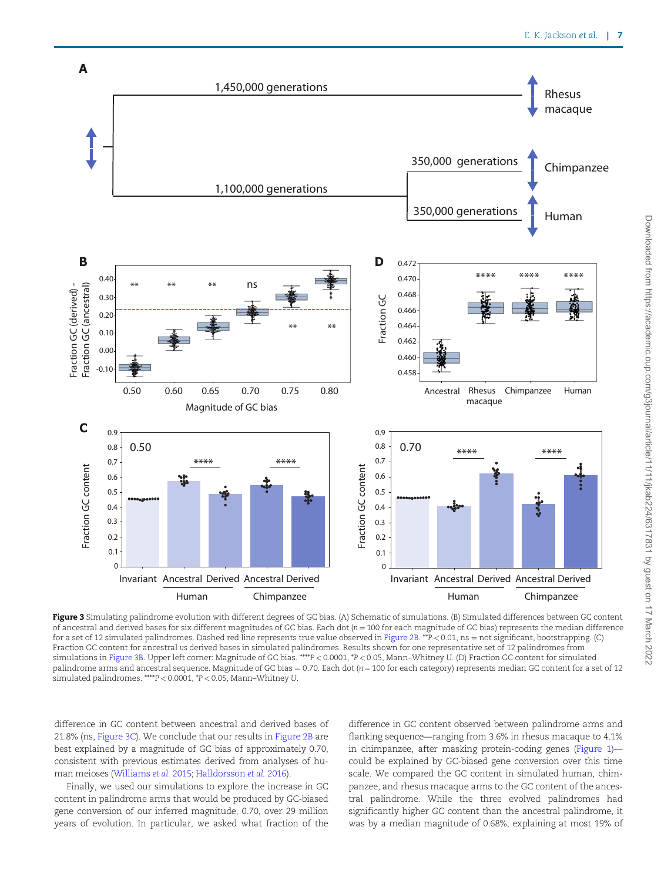<span id="page-6-0"></span>

Downloaded from https://academic.oup.com/g3journal/article/11/11/jkab224/6317831 by guest on 17 March 2022 Downloaded from https://academic.oup.com/g3journal/article/11/11/jkab224/6317831 by guest on 17 March 2022

of ancestral and derived bases for six different magnitudes of GC bias. Each dot  $(n = 100$  for each magnitude of GC bias) represents the median difference for a set of 12 simulated palindromes. Dashed red line represents true value observed in [Figure 2B.](#page-5-0) \*\*P < 0.01, ns = not significant, bootstrapping. (C) Fraction GC content for ancestral vs derived bases in simulated palindromes. Results shown for one representative set of 12 palindromes from simulations in Figure 3B. Upper left corner: Magnitude of GC bias. \*\*\*\*P < 0.0001, \*P < 0.05, Mann–Whitney U. (D) Fraction GC content for simulated palindrome arms and ancestral sequence. Magnitude of GC bias =  $0.70$ . Each dot ( $n = 100$  for each category) represents median GC content for a set of 12 simulated palindromes. \*\*\*\*P < 0.0001, \*P < 0.05, Mann–Whitney U.

difference in GC content between ancestral and derived bases of 21.8% (ns, Figure 3C). We conclude that our results in [Figure 2B](#page-5-0) are best explained by a magnitude of GC bias of approximately 0.70, consistent with previous estimates derived from analyses of human meioses ([Williams](#page-9-0) et al. 2015; [Halldorsson](#page-8-0) et al. 2016).

Finally, we used our simulations to explore the increase in GC content in palindrome arms that would be produced by GC-biased gene conversion of our inferred magnitude, 0.70, over 29 million years of evolution. In particular, we asked what fraction of the difference in GC content observed between palindrome arms and flanking sequence—ranging from 3.6% in rhesus macaque to 4.1% in chimpanzee, after masking protein-coding genes ([Figure 1\)](#page-4-0) could be explained by GC-biased gene conversion over this time scale. We compared the GC content in simulated human, chimpanzee, and rhesus macaque arms to the GC content of the ancestral palindrome. While the three evolved palindromes had significantly higher GC content than the ancestral palindrome, it was by a median magnitude of 0.68%, explaining at most 19% of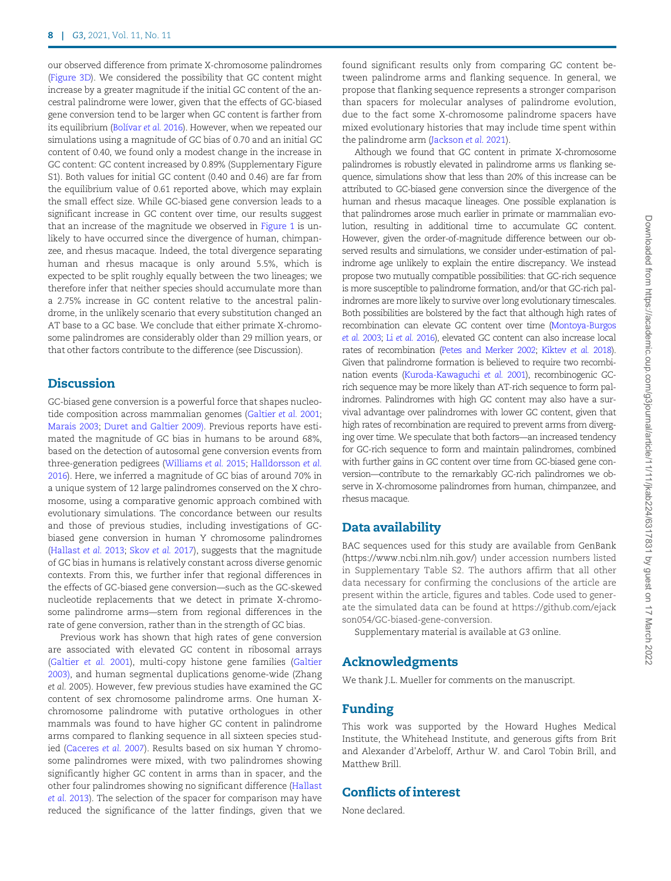our observed difference from primate X-chromosome palindromes ([Figure 3D\)](#page-6-0). We considered the possibility that GC content might increase by a greater magnitude if the initial GC content of the ancestral palindrome were lower, given that the effects of GC-biased gene conversion tend to be larger when GC content is farther from its equilibrium (Bolívar et al. 2016). However, when we repeated our simulations using a magnitude of GC bias of 0.70 and an initial GC content of 0.40, we found only a modest change in the increase in GC content: GC content increased by 0.89% (Supplementary Figure S1). Both values for initial GC content (0.40 and 0.46) are far from the equilibrium value of 0.61 reported above, which may explain the small effect size. While GC-biased gene conversion leads to a significant increase in GC content over time, our results suggest that an increase of the magnitude we observed in [Figure 1](#page-4-0) is unlikely to have occurred since the divergence of human, chimpanzee, and rhesus macaque. Indeed, the total divergence separating human and rhesus macaque is only around 5.5%, which is expected to be split roughly equally between the two lineages; we therefore infer that neither species should accumulate more than a 2.75% increase in GC content relative to the ancestral palindrome, in the unlikely scenario that every substitution changed an AT base to a GC base. We conclude that either primate X-chromosome palindromes are considerably older than 29 million years, or that other factors contribute to the difference (see Discussion).

# Discussion

GC-biased gene conversion is a powerful force that shapes nucleotide composition across mammalian genomes ([Galtier](#page-8-0) et al. 2001; [Marais 2003;](#page-8-0) [Duret and Galtier 2009\).](#page-8-0) Previous reports have estimated the magnitude of GC bias in humans to be around 68%, based on the detection of autosomal gene conversion events from three-generation pedigrees [\(Williams](#page-9-0) et al. 2015; [Halldorsson](#page-8-0) et al. [2016\)](#page-8-0). Here, we inferred a magnitude of GC bias of around 70% in a unique system of 12 large palindromes conserved on the X chromosome, using a comparative genomic approach combined with evolutionary simulations. The concordance between our results and those of previous studies, including investigations of GCbiased gene conversion in human Y chromosome palindromes ([Hallast](#page-8-0) et al. 2013; [Skov](#page-9-0) et al. 2017), suggests that the magnitude of GC bias in humans is relatively constant across diverse genomic contexts. From this, we further infer that regional differences in the effects of GC-biased gene conversion—such as the GC-skewed nucleotide replacements that we detect in primate X-chromosome palindrome arms—stem from regional differences in the rate of gene conversion, rather than in the strength of GC bias.

Previous work has shown that high rates of gene conversion are associated with elevated GC content in ribosomal arrays ([Galtier](#page-8-0) et al. 2001), multi-copy histone gene families ([Galtier](#page-8-0) [2003\)](#page-8-0), and human segmental duplications genome-wide (Zhang et al. 2005). However, few previous studies have examined the GC content of sex chromosome palindrome arms. One human Xchromosome palindrome with putative orthologues in other mammals was found to have higher GC content in palindrome arms compared to flanking sequence in all sixteen species studied ([Caceres](#page-8-0) et al. 2007). Results based on six human Y chromosome palindromes were mixed, with two palindromes showing significantly higher GC content in arms than in spacer, and the other four palindromes showing no significant difference [\(Hallast](#page-8-0) et al. [2013\)](#page-8-0). The selection of the spacer for comparison may have reduced the significance of the latter findings, given that we

Although we found that GC content in primate X-chromosome palindromes is robustly elevated in palindrome arms vs flanking sequence, simulations show that less than 20% of this increase can be attributed to GC-biased gene conversion since the divergence of the human and rhesus macaque lineages. One possible explanation is that palindromes arose much earlier in primate or mammalian evolution, resulting in additional time to accumulate GC content. However, given the order-of-magnitude difference between our observed results and simulations, we consider under-estimation of palindrome age unlikely to explain the entire discrepancy. We instead propose two mutually compatible possibilities: that GC-rich sequence is more susceptible to palindrome formation, and/or that GC-rich palindromes are more likely to survive over long evolutionary timescales. Both possibilities are bolstered by the fact that although high rates of recombination can elevate GC content over time [\(Montoya-Burgos](#page-8-0) et al. [2003](#page-8-0); Li et al. [2016\)](#page-8-0), elevated GC content can also increase local rates of recombination [\(Petes and Merker 2002](#page-8-0); [Kiktev](#page-8-0) et al. 2018). Given that palindrome formation is believed to require two recombination events [\(Kuroda-Kawaguchi](#page-8-0) et al. 2001), recombinogenic GCrich sequence may be more likely than AT-rich sequence to form palindromes. Palindromes with high GC content may also have a survival advantage over palindromes with lower GC content, given that high rates of recombination are required to prevent arms from diverging over time. We speculate that both factors—an increased tendency for GC-rich sequence to form and maintain palindromes, combined with further gains in GC content over time from GC-biased gene conversion—contribute to the remarkably GC-rich palindromes we observe in X-chromosome palindromes from human, chimpanzee, and rhesus macaque.

# Data availability

BAC sequences used for this study are available from GenBank [\(https://www.ncbi.nlm.nih.gov/\)](https://www.ncbi.nlm.nih.gov/) under accession numbers listed in Supplementary Table S2. The authors affirm that all other data necessary for confirming the conclusions of the article are present within the article, figures and tables. Code used to generate the simulated data can be found at [https://github.com/ejack](https://github.com/ejackson054/GC-biased-gene-conversion) [son054/GC-biased-gene-conversion](https://github.com/ejackson054/GC-biased-gene-conversion).

Supplementary material is available at G3 online.

## Acknowledgments

We thank J.L. Mueller for comments on the manuscript.

# Funding

This work was supported by the Howard Hughes Medical Institute, the Whitehead Institute, and generous gifts from Brit and Alexander d'Arbeloff, Arthur W. and Carol Tobin Brill, and Matthew Brill.

# Conflicts of interest

None declared.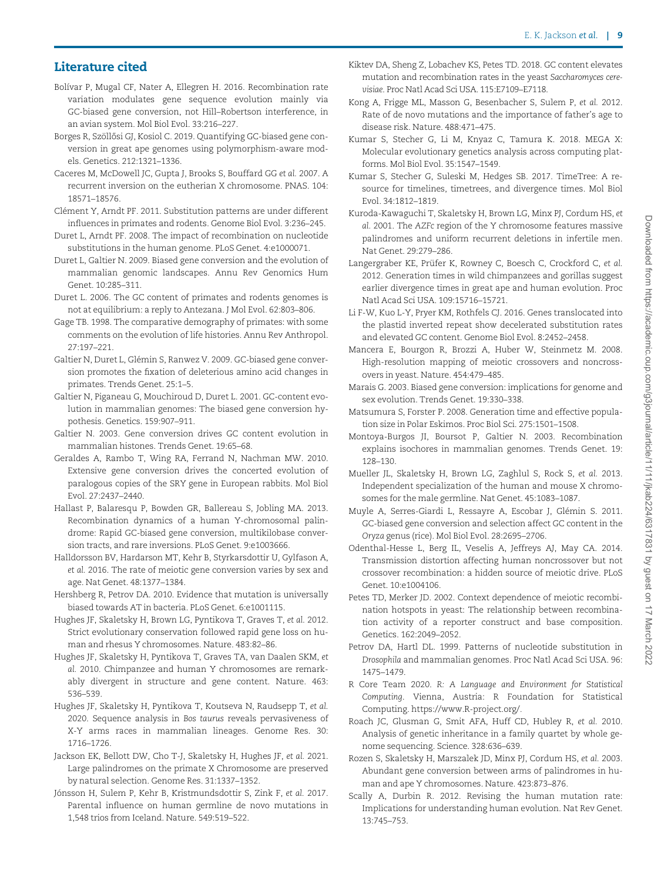# <span id="page-8-0"></span>Literature cited

- Bolívar P, Mugal CF, Nater A, Ellegren H. 2016. Recombination rate variation modulates gene sequence evolution mainly via GC-biased gene conversion, not Hill–Robertson interference, in an avian system. Mol Biol Evol. 33:216–227.
- Borges R, Szöllősi GJ, Kosiol C. 2019. Quantifying GC-biased gene conversion in great ape genomes using polymorphism-aware models. Genetics. 212:1321–1336.
- Caceres M, McDowell JC, Gupta J, Brooks S, Bouffard GG et al. 2007. A recurrent inversion on the eutherian X chromosome. PNAS. 104: 18571–18576.
- Clément Y, Arndt PF, 2011. Substitution patterns are under different influences in primates and rodents. Genome Biol Evol. 3:236–245.
- Duret L, Arndt PF. 2008. The impact of recombination on nucleotide substitutions in the human genome. PLoS Genet. 4:e1000071.
- Duret L, Galtier N. 2009. Biased gene conversion and the evolution of mammalian genomic landscapes. Annu Rev Genomics Hum Genet. 10:285–311.
- Duret L. 2006. The GC content of primates and rodents genomes is not at equilibrium: a reply to Antezana. J Mol Evol. 62:803–806.
- Gage TB. 1998. The comparative demography of primates: with some comments on the evolution of life histories. Annu Rev Anthropol. 27:197–221.
- Galtier N, Duret L, Glémin S, Ranwez V. 2009. GC-biased gene conversion promotes the fixation of deleterious amino acid changes in primates. Trends Genet. 25:1–5.
- Galtier N, Piganeau G, Mouchiroud D, Duret L. 2001. GC-content evolution in mammalian genomes: The biased gene conversion hypothesis. Genetics. 159:907–911.
- Galtier N. 2003. Gene conversion drives GC content evolution in mammalian histones. Trends Genet. 19:65–68.
- Geraldes A, Rambo T, Wing RA, Ferrand N, Nachman MW. 2010. Extensive gene conversion drives the concerted evolution of paralogous copies of the SRY gene in European rabbits. Mol Biol Evol. 27:2437–2440.
- Hallast P, Balaresqu P, Bowden GR, Ballereau S, Jobling MA. 2013. Recombination dynamics of a human Y-chromosomal palindrome: Rapid GC-biased gene conversion, multikilobase conversion tracts, and rare inversions. PLoS Genet. 9:e1003666.
- Halldorsson BV, Hardarson MT, Kehr B, Styrkarsdottir U, Gylfason A, et al. 2016. The rate of meiotic gene conversion varies by sex and age. Nat Genet. 48:1377–1384.
- Hershberg R, Petrov DA. 2010. Evidence that mutation is universally biased towards AT in bacteria. PLoS Genet. 6:e1001115.
- Hughes JF, Skaletsky H, Brown LG, Pyntikova T, Graves T, et al. 2012. Strict evolutionary conservation followed rapid gene loss on human and rhesus Y chromosomes. Nature. 483:82–86.
- Hughes JF, Skaletsky H, Pyntikova T, Graves TA, van Daalen SKM, et al. 2010. Chimpanzee and human Y chromosomes are remarkably divergent in structure and gene content. Nature. 463: 536–539.
- Hughes JF, Skaletsky H, Pyntikova T, Koutseva N, Raudsepp T, et al. 2020. Sequence analysis in Bos taurus reveals pervasiveness of X-Y arms races in mammalian lineages. Genome Res. 30: 1716–1726.
- Jackson EK, Bellott DW, Cho T-J, Skaletsky H, Hughes JF, et al. 2021. Large palindromes on the primate X Chromosome are preserved by natural selection. Genome Res. 31:1337–1352.
- Jónsson H, Sulem P, Kehr B, Kristmundsdottir S, Zink F, et al. 2017. Parental influence on human germline de novo mutations in 1,548 trios from Iceland. Nature. 549:519–522.
- Kiktev DA, Sheng Z, Lobachev KS, Petes TD. 2018. GC content elevates mutation and recombination rates in the yeast Saccharomyces cerevisiae. Proc Natl Acad Sci USA. 115:E7109–E7118.
- Kong A, Frigge ML, Masson G, Besenbacher S, Sulem P, et al. 2012. Rate of de novo mutations and the importance of father's age to disease risk. Nature. 488:471–475.
- Kumar S, Stecher G, Li M, Knyaz C, Tamura K. 2018. MEGA X: Molecular evolutionary genetics analysis across computing platforms. Mol Biol Evol. 35:1547–1549.
- Kumar S, Stecher G, Suleski M, Hedges SB. 2017. TimeTree: A resource for timelines, timetrees, and divergence times. Mol Biol Evol. 34:1812–1819.
- Kuroda-Kawaguchi T, Skaletsky H, Brown LG, Minx PJ, Cordum HS, et al. 2001. The AZFc region of the Y chromosome features massive palindromes and uniform recurrent deletions in infertile men. Nat Genet. 29:279–286.
- Langergraber KE, Prüfer K, Rowney C, Boesch C, Crockford C, et al. 2012. Generation times in wild chimpanzees and gorillas suggest earlier divergence times in great ape and human evolution. Proc Natl Acad Sci USA. 109:15716–15721.
- Li F-W, Kuo L-Y, Pryer KM, Rothfels CJ. 2016. Genes translocated into the plastid inverted repeat show decelerated substitution rates and elevated GC content. Genome Biol Evol. 8:2452–2458.
- Mancera E, Bourgon R, Brozzi A, Huber W, Steinmetz M. 2008. High-resolution mapping of meiotic crossovers and noncrossovers in yeast. Nature. 454:479–485.
- Marais G. 2003. Biased gene conversion: implications for genome and sex evolution. Trends Genet. 19:330–338.
- Matsumura S, Forster P. 2008. Generation time and effective population size in Polar Eskimos. Proc Biol Sci. 275:1501–1508.
- Montoya-Burgos JI, Boursot P, Galtier N. 2003. Recombination explains isochores in mammalian genomes. Trends Genet. 19: 128–130.
- Mueller JL, Skaletsky H, Brown LG, Zaghlul S, Rock S, et al. 2013. Independent specialization of the human and mouse X chromosomes for the male germline. Nat Genet. 45:1083–1087.
- Muyle A, Serres-Giardi L, Ressayre A, Escobar J, Glémin S. 2011. GC-biased gene conversion and selection affect GC content in the Oryza genus (rice). Mol Biol Evol. 28:2695–2706.
- Odenthal-Hesse L, Berg IL, Veselis A, Jeffreys AJ, May CA. 2014. Transmission distortion affecting human noncrossover but not crossover recombination: a hidden source of meiotic drive. PLoS Genet. 10:e1004106.
- Petes TD, Merker JD. 2002. Context dependence of meiotic recombination hotspots in yeast: The relationship between recombination activity of a reporter construct and base composition. Genetics. 162:2049–2052.
- Petrov DA, Hartl DL. 1999. Patterns of nucleotide substitution in Drosophila and mammalian genomes. Proc Natl Acad Sci USA. 96: 1475–1479.
- R Core Team 2020. R: A Language and Environment for Statistical Computing. Vienna, Austria: R Foundation for Statistical Computing.<https://www.R-project.org/>.
- Roach JC, Glusman G, Smit AFA, Huff CD, Hubley R, et al. 2010. Analysis of genetic inheritance in a family quartet by whole genome sequencing. Science. 328:636–639.
- Rozen S, Skaletsky H, Marszalek JD, Minx PJ, Cordum HS, et al. 2003. Abundant gene conversion between arms of palindromes in human and ape Y chromosomes. Nature. 423:873–876.
- Scally A, Durbin R. 2012. Revising the human mutation rate: Implications for understanding human evolution. Nat Rev Genet. 13:745–753.